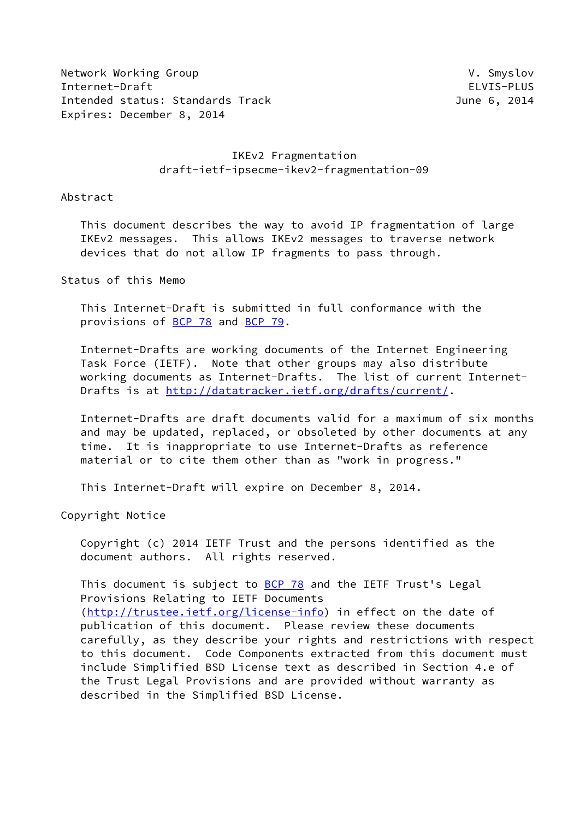Network Working Group **V. Smyslov** V. Smyslov Internet-Draft ELVIS-PLUS Intended status: Standards Track June 6, 2014 Expires: December 8, 2014

# IKEv2 Fragmentation draft-ietf-ipsecme-ikev2-fragmentation-09

Abstract

 This document describes the way to avoid IP fragmentation of large IKEv2 messages. This allows IKEv2 messages to traverse network devices that do not allow IP fragments to pass through.

Status of this Memo

 This Internet-Draft is submitted in full conformance with the provisions of [BCP 78](https://datatracker.ietf.org/doc/pdf/bcp78) and [BCP 79](https://datatracker.ietf.org/doc/pdf/bcp79).

 Internet-Drafts are working documents of the Internet Engineering Task Force (IETF). Note that other groups may also distribute working documents as Internet-Drafts. The list of current Internet Drafts is at<http://datatracker.ietf.org/drafts/current/>.

 Internet-Drafts are draft documents valid for a maximum of six months and may be updated, replaced, or obsoleted by other documents at any time. It is inappropriate to use Internet-Drafts as reference material or to cite them other than as "work in progress."

This Internet-Draft will expire on December 8, 2014.

Copyright Notice

 Copyright (c) 2014 IETF Trust and the persons identified as the document authors. All rights reserved.

This document is subject to **[BCP 78](https://datatracker.ietf.org/doc/pdf/bcp78)** and the IETF Trust's Legal Provisions Relating to IETF Documents [\(http://trustee.ietf.org/license-info](http://trustee.ietf.org/license-info)) in effect on the date of publication of this document. Please review these documents carefully, as they describe your rights and restrictions with respect to this document. Code Components extracted from this document must include Simplified BSD License text as described in Section 4.e of the Trust Legal Provisions and are provided without warranty as described in the Simplified BSD License.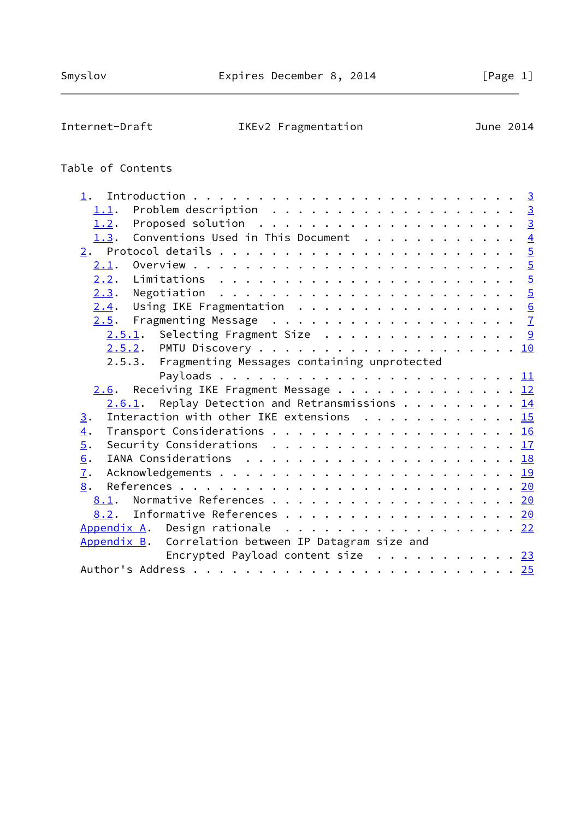# Internet-Draft IKEv2 Fragmentation June 2014

# Table of Contents

| 1.1.                                                                                                         |  |  |
|--------------------------------------------------------------------------------------------------------------|--|--|
| Proposed solution $\ldots \ldots \ldots \ldots \ldots \ldots \ldots$<br>1.2.                                 |  |  |
| Conventions Used in This Document $\frac{4}{5}$<br>1.3.                                                      |  |  |
|                                                                                                              |  |  |
| 2.1.                                                                                                         |  |  |
|                                                                                                              |  |  |
|                                                                                                              |  |  |
| Using IKE Fragmentation 6<br>2.4.                                                                            |  |  |
|                                                                                                              |  |  |
| $2.5.1$ . Selecting Fragment Size 9                                                                          |  |  |
|                                                                                                              |  |  |
| 2.5.3. Fragmenting Messages containing unprotected                                                           |  |  |
|                                                                                                              |  |  |
| $2.6$ . Receiving IKE Fragment Message 12                                                                    |  |  |
| $2.6.1$ . Replay Detection and Retransmissions 14                                                            |  |  |
| Interaction with other IKE extensions 15<br>3.                                                               |  |  |
| $\overline{4}$ .                                                                                             |  |  |
| $\overline{5}$ .<br>Security Considerations $\ldots \ldots \ldots \ldots \ldots \ldots \ldots \frac{17}{17}$ |  |  |
| 6.                                                                                                           |  |  |
| $\mathbf{I}$ .                                                                                               |  |  |
| 8.                                                                                                           |  |  |
| 8.1. Normative References 20                                                                                 |  |  |
| 8.2. Informative References 20                                                                               |  |  |
| Appendix A. Design rationale 22                                                                              |  |  |
| Appendix B. Correlation between IP Datagram size and                                                         |  |  |
| Encrypted Payload content size $\cdots$ 23                                                                   |  |  |
|                                                                                                              |  |  |
|                                                                                                              |  |  |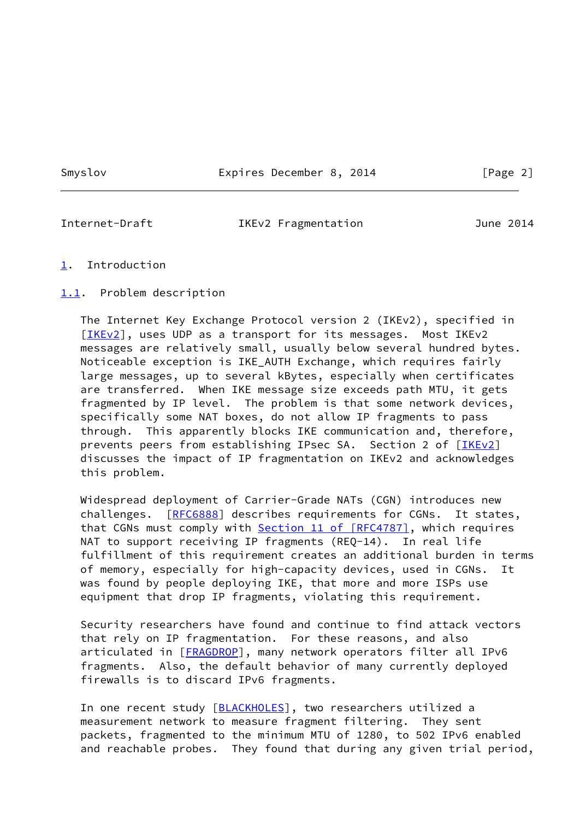Smyslov **Expires December 8, 2014** [Page 2]

<span id="page-2-1"></span>

Internet-Draft IKEv2 Fragmentation June 2014

- <span id="page-2-0"></span>[1](#page-2-0). Introduction
- <span id="page-2-2"></span>[1.1](#page-2-2). Problem description

 The Internet Key Exchange Protocol version 2 (IKEv2), specified in [\[IKEv2](#page-21-4)], uses UDP as a transport for its messages. Most IKEv2 messages are relatively small, usually below several hundred bytes. Noticeable exception is IKE\_AUTH Exchange, which requires fairly large messages, up to several kBytes, especially when certificates are transferred. When IKE message size exceeds path MTU, it gets fragmented by IP level. The problem is that some network devices, specifically some NAT boxes, do not allow IP fragments to pass through. This apparently blocks IKE communication and, therefore, prevents peers from establishing IPsec SA. Section 2 of [\[IKEv2\]](#page-21-4) discusses the impact of IP fragmentation on IKEv2 and acknowledges this problem.

 Widespread deployment of Carrier-Grade NATs (CGN) introduces new challenges. [\[RFC6888](https://datatracker.ietf.org/doc/pdf/rfc6888)] describes requirements for CGNs. It states, that CGNs must comply with **Section [11 of \[RFC4787\]](https://datatracker.ietf.org/doc/pdf/rfc4787#section-11)**, which requires NAT to support receiving IP fragments (REQ-14). In real life fulfillment of this requirement creates an additional burden in terms of memory, especially for high-capacity devices, used in CGNs. It was found by people deploying IKE, that more and more ISPs use equipment that drop IP fragments, violating this requirement.

 Security researchers have found and continue to find attack vectors that rely on IP fragmentation. For these reasons, and also articulated in [\[FRAGDROP](#page-22-0)], many network operators filter all IPv6 fragments. Also, the default behavior of many currently deployed firewalls is to discard IPv6 fragments.

In one recent study [\[BLACKHOLES\]](#page-23-2), two researchers utilized a measurement network to measure fragment filtering. They sent packets, fragmented to the minimum MTU of 1280, to 502 IPv6 enabled and reachable probes. They found that during any given trial period,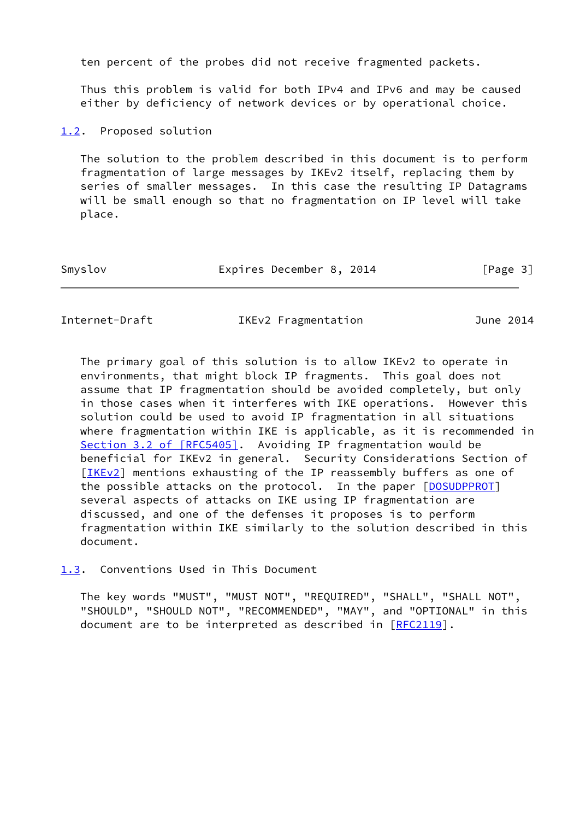ten percent of the probes did not receive fragmented packets.

 Thus this problem is valid for both IPv4 and IPv6 and may be caused either by deficiency of network devices or by operational choice.

<span id="page-3-0"></span>[1.2](#page-3-0). Proposed solution

 The solution to the problem described in this document is to perform fragmentation of large messages by IKEv2 itself, replacing them by series of smaller messages. In this case the resulting IP Datagrams will be small enough so that no fragmentation on IP level will take place.

| Expires December 8, 2014<br>Smyslov | [Page 3] |
|-------------------------------------|----------|
|-------------------------------------|----------|

<span id="page-3-2"></span>Internet-Draft IKEv2 Fragmentation June 2014

 The primary goal of this solution is to allow IKEv2 to operate in environments, that might block IP fragments. This goal does not assume that IP fragmentation should be avoided completely, but only in those cases when it interferes with IKE operations. However this solution could be used to avoid IP fragmentation in all situations where fragmentation within IKE is applicable, as it is recommended in Section [3.2 of \[RFC5405\]](https://datatracker.ietf.org/doc/pdf/rfc5405#section-3.2). Avoiding IP fragmentation would be beneficial for IKEv2 in general. Security Considerations Section of [\[IKEv2](#page-21-4)] mentions exhausting of the IP reassembly buffers as one of the possible attacks on the protocol. In the paper [\[DOSUDPPROT\]](#page-23-3) several aspects of attacks on IKE using IP fragmentation are discussed, and one of the defenses it proposes is to perform fragmentation within IKE similarly to the solution described in this document.

<span id="page-3-1"></span>[1.3](#page-3-1). Conventions Used in This Document

 The key words "MUST", "MUST NOT", "REQUIRED", "SHALL", "SHALL NOT", "SHOULD", "SHOULD NOT", "RECOMMENDED", "MAY", and "OPTIONAL" in this document are to be interpreted as described in [\[RFC2119](https://datatracker.ietf.org/doc/pdf/rfc2119)].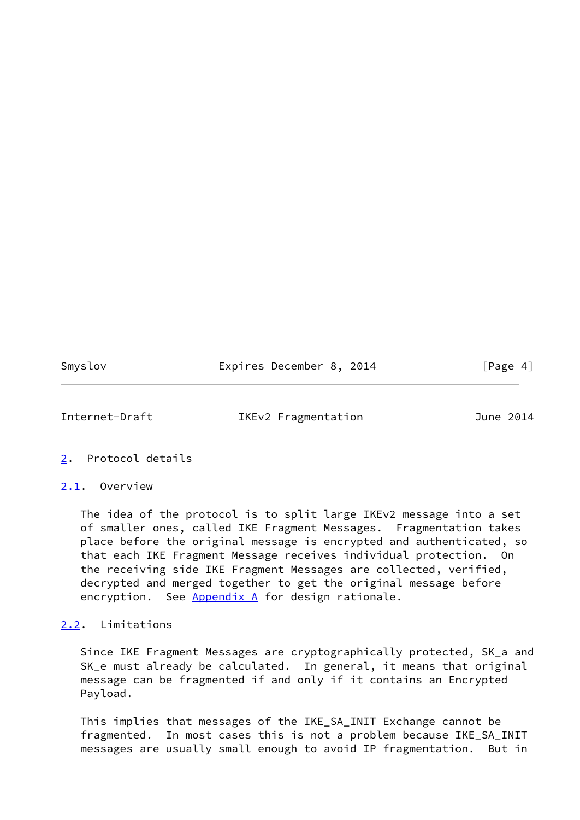Smyslov **Expires December 8, 2014** [Page 4]

<span id="page-4-1"></span>Internet-Draft IKEv2 Fragmentation June 2014

# <span id="page-4-0"></span>[2](#page-4-0). Protocol details

#### <span id="page-4-2"></span>[2.1](#page-4-2). Overview

 The idea of the protocol is to split large IKEv2 message into a set of smaller ones, called IKE Fragment Messages. Fragmentation takes place before the original message is encrypted and authenticated, so that each IKE Fragment Message receives individual protection. On the receiving side IKE Fragment Messages are collected, verified, decrypted and merged together to get the original message before encryption. See [Appendix A](#page-23-0) for design rationale.

# <span id="page-4-3"></span>[2.2](#page-4-3). Limitations

 Since IKE Fragment Messages are cryptographically protected, SK\_a and SK\_e must already be calculated. In general, it means that original message can be fragmented if and only if it contains an Encrypted Payload.

 This implies that messages of the IKE\_SA\_INIT Exchange cannot be fragmented. In most cases this is not a problem because IKE\_SA\_INIT messages are usually small enough to avoid IP fragmentation. But in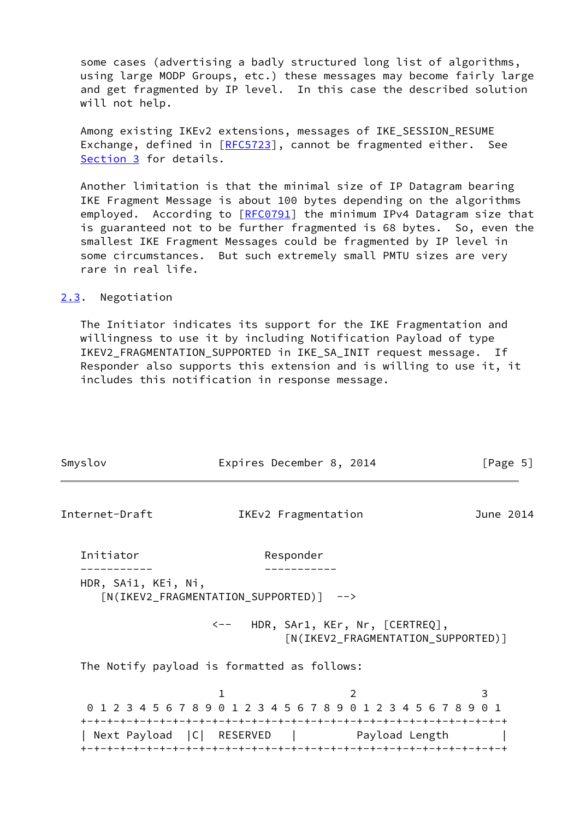some cases (advertising a badly structured long list of algorithms, using large MODP Groups, etc.) these messages may become fairly large and get fragmented by IP level. In this case the described solution will not help.

Among existing IKEv2 extensions, messages of IKE SESSION RESUME Exchange, defined in [\[RFC5723](https://datatracker.ietf.org/doc/pdf/rfc5723)], cannot be fragmented either. See [Section 3](#page-15-0) for details.

 Another limitation is that the minimal size of IP Datagram bearing IKE Fragment Message is about 100 bytes depending on the algorithms employed. According to [\[RFC0791](https://datatracker.ietf.org/doc/pdf/rfc0791)] the minimum IPv4 Datagram size that is guaranteed not to be further fragmented is 68 bytes. So, even the smallest IKE Fragment Messages could be fragmented by IP level in some circumstances. But such extremely small PMTU sizes are very rare in real life.

<span id="page-5-0"></span>[2.3](#page-5-0). Negotiation

 The Initiator indicates its support for the IKE Fragmentation and willingness to use it by including Notification Payload of type IKEV2\_FRAGMENTATION\_SUPPORTED in IKE\_SA\_INIT request message. If Responder also supports this extension and is willing to use it, it includes this notification in response message.

<span id="page-5-1"></span>

| Smyslov             | Expires December 8, 2014                                             |                                    | [Page $5$ ] |
|---------------------|----------------------------------------------------------------------|------------------------------------|-------------|
| Internet-Draft      | IKEv2 Fragmentation                                                  |                                    | June 2014   |
| Initiator           | Responder                                                            |                                    |             |
| HDR, SAi1, KEi, Ni, | [N(IKEV2_FRAGMENTATION_SUPPORTED)] -->                               |                                    |             |
|                     | <-- HDR, SAr1, KEr, Nr, [CERTREQ],                                   | [N(IKEV2_FRAGMENTATION_SUPPORTED)] |             |
|                     | The Notify payload is formatted as follows:                          |                                    |             |
|                     | 1<br>0 1 2 3 4 5 6 7 8 9 0 1 2 3 4 5 6 7 8 9 0 1 2 3 4 5 6 7 8 9 0 1 | 2                                  | 3           |
|                     | Next Payload   C   RESERVED   Payload Length                         |                                    |             |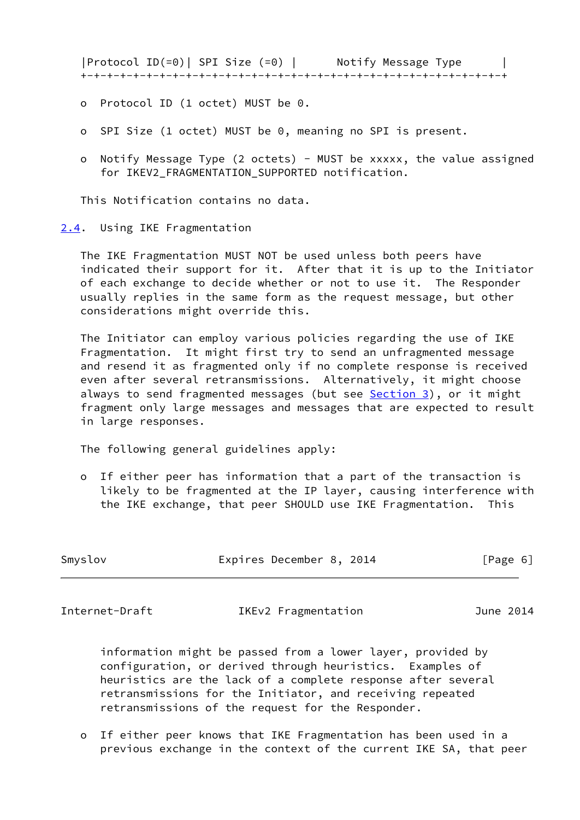|Protocol ID(=0)| SPI Size (=0) | Notify Message Type | +-+-+-+-+-+-+-+-+-+-+-+-+-+-+-+-+-+-+-+-+-+-+-+-+-+-+-+-+-+-+-+-+

- o Protocol ID (1 octet) MUST be 0.
- o SPI Size (1 octet) MUST be 0, meaning no SPI is present.
- o Notify Message Type (2 octets) MUST be xxxxx, the value assigned for IKEV2 FRAGMENTATION SUPPORTED notification.

This Notification contains no data.

<span id="page-6-0"></span>[2.4](#page-6-0). Using IKE Fragmentation

 The IKE Fragmentation MUST NOT be used unless both peers have indicated their support for it. After that it is up to the Initiator of each exchange to decide whether or not to use it. The Responder usually replies in the same form as the request message, but other considerations might override this.

 The Initiator can employ various policies regarding the use of IKE Fragmentation. It might first try to send an unfragmented message and resend it as fragmented only if no complete response is received even after several retransmissions. Alternatively, it might choose always to send fragmented messages (but see **Section 3**), or it might fragment only large messages and messages that are expected to result in large responses.

The following general guidelines apply:

 o If either peer has information that a part of the transaction is likely to be fragmented at the IP layer, causing interference with the IKE exchange, that peer SHOULD use IKE Fragmentation. This

| Expires December 8, 2014<br>Smyslov<br>[Page 6] |  |  |
|-------------------------------------------------|--|--|
|-------------------------------------------------|--|--|

<span id="page-6-1"></span>Internet-Draft IKEv2 Fragmentation June 2014

 information might be passed from a lower layer, provided by configuration, or derived through heuristics. Examples of heuristics are the lack of a complete response after several retransmissions for the Initiator, and receiving repeated retransmissions of the request for the Responder.

 o If either peer knows that IKE Fragmentation has been used in a previous exchange in the context of the current IKE SA, that peer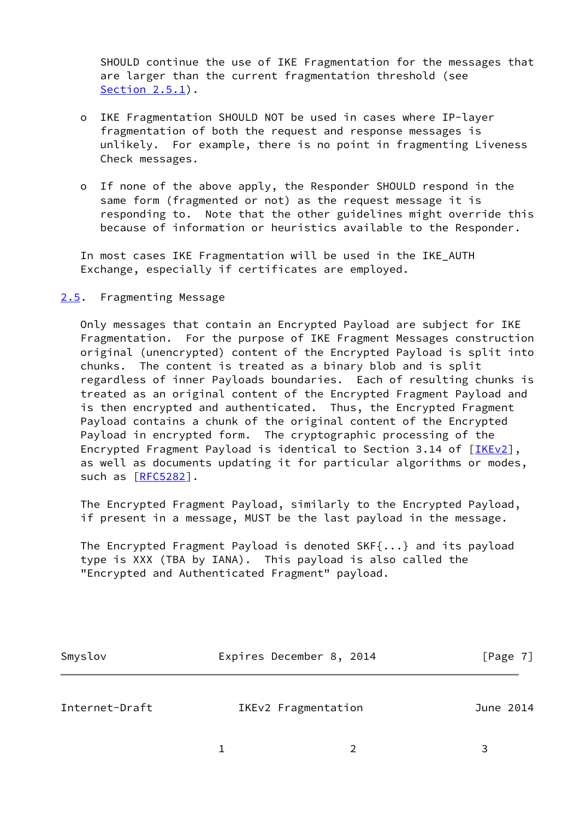SHOULD continue the use of IKE Fragmentation for the messages that are larger than the current fragmentation threshold (see [Section 2.5.1\)](#page-9-0).

- o IKE Fragmentation SHOULD NOT be used in cases where IP-layer fragmentation of both the request and response messages is unlikely. For example, there is no point in fragmenting Liveness Check messages.
- o If none of the above apply, the Responder SHOULD respond in the same form (fragmented or not) as the request message it is responding to. Note that the other guidelines might override this because of information or heuristics available to the Responder.

 In most cases IKE Fragmentation will be used in the IKE\_AUTH Exchange, especially if certificates are employed.

#### <span id="page-7-0"></span>[2.5](#page-7-0). Fragmenting Message

 Only messages that contain an Encrypted Payload are subject for IKE Fragmentation. For the purpose of IKE Fragment Messages construction original (unencrypted) content of the Encrypted Payload is split into chunks. The content is treated as a binary blob and is split regardless of inner Payloads boundaries. Each of resulting chunks is treated as an original content of the Encrypted Fragment Payload and is then encrypted and authenticated. Thus, the Encrypted Fragment Payload contains a chunk of the original content of the Encrypted Payload in encrypted form. The cryptographic processing of the Encrypted Fragment Payload is identical to Section 3.14 of [[IKEv2\]](#page-21-4), as well as documents updating it for particular algorithms or modes, such as [\[RFC5282](https://datatracker.ietf.org/doc/pdf/rfc5282)].

 The Encrypted Fragment Payload, similarly to the Encrypted Payload, if present in a message, MUST be the last payload in the message.

 The Encrypted Fragment Payload is denoted SKF{...} and its payload type is XXX (TBA by IANA). This payload is also called the "Encrypted and Authenticated Fragment" payload.

| Smyslov | Expires December 8, 2014 | [Page 7] |
|---------|--------------------------|----------|
|         |                          |          |

Internet-Draft IKEv2 Fragmentation June 2014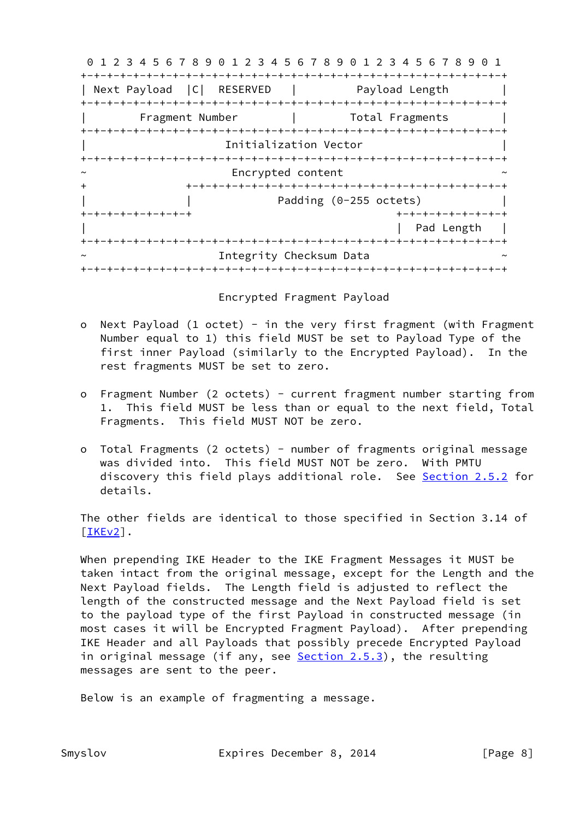0 1 2 3 4 5 6 7 8 9 0 1 2 3 4 5 6 7 8 9 0 1 2 3 4 5 6 7 8 9 0 1 +-+-+-+-+-+-+-+-+-+-+-+-+-+-+-+-+-+-+-+-+-+-+-+-+-+-+-+-+-+-+-+-+ | Next Payload | C | RESERVED | Payload Length +-+-+-+-+-+-+-+-+-+-+-+-+-+-+-+-+-+-+-+-+-+-+-+-+-+-+-+-+-+-+-+-+ Fragment Number | Total Fragments +-+-+-+-+-+-+-+-+-+-+-+-+-+-+-+-+-+-+-+-+-+-+-+-+-+-+-+-+-+-+-+-+ Initialization Vector +-+-+-+-+-+-+-+-+-+-+-+-+-+-+-+-+-+-+-+-+-+-+-+-+-+-+-+-+-+-+-+-+ Encrypted content + +-+-+-+-+-+-+-+-+-+-+-+-+-+-+-+-+-+-+-+-+-+-+-+-+ Padding (0-255 octets) +-+-+-+-+-+-+-+-+ +-+-+-+-+-+-+-+-+ | Pad Length | +-+-+-+-+-+-+-+-+-+-+-+-+-+-+-+-+-+-+-+-+-+-+-+-+-+-+-+-+-+-+-+-+ Integrity Checksum Data +-+-+-+-+-+-+-+-+-+-+-+-+-+-+-+-+-+-+-+-+-+-+-+-+-+-+-+-+-+-+-+-+

Encrypted Fragment Payload

- o Next Payload (1 octet) in the very first fragment (with Fragment Number equal to 1) this field MUST be set to Payload Type of the first inner Payload (similarly to the Encrypted Payload). In the rest fragments MUST be set to zero.
- o Fragment Number (2 octets) current fragment number starting from 1. This field MUST be less than or equal to the next field, Total Fragments. This field MUST NOT be zero.
- o Total Fragments (2 octets) number of fragments original message was divided into. This field MUST NOT be zero. With PMTU discovery this field plays additional role. See [Section 2.5.2](#page-10-0) for details.

 The other fields are identical to those specified in Section 3.14 of [\[IKEv2](#page-21-4)].

 When prepending IKE Header to the IKE Fragment Messages it MUST be taken intact from the original message, except for the Length and the Next Payload fields. The Length field is adjusted to reflect the length of the constructed message and the Next Payload field is set to the payload type of the first Payload in constructed message (in most cases it will be Encrypted Fragment Payload). After prepending IKE Header and all Payloads that possibly precede Encrypted Payload in original message (if any, see  $Section 2.5.3$ ), the resulting messages are sent to the peer.

Below is an example of fragmenting a message.

Smyslov Expires December 8, 2014 [Page 8]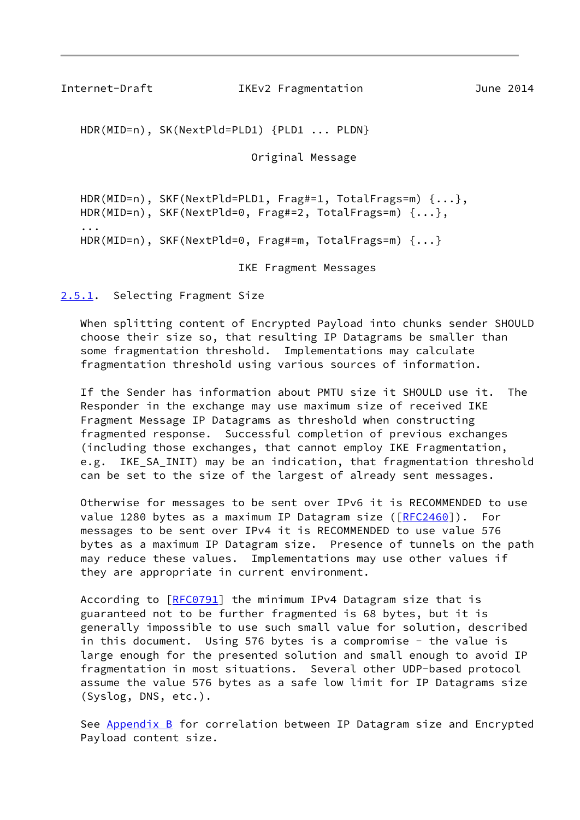<span id="page-9-1"></span>Internet-Draft IKEv2 Fragmentation June 2014

HDR(MID=n), SK(NextPld=PLD1) {PLD1 ... PLDN}

Original Message

 HDR(MID=n), SKF(NextPld=PLD1, Frag#=1, TotalFrags=m) {...}, HDR(MID=n), SKF(NextPld=0, Frag#=2, TotalFrags=m) {...}, ... HDR(MID=n), SKF(NextPld=0, Frag#=m, TotalFrags=m) {...}

IKE Fragment Messages

<span id="page-9-0"></span>[2.5.1](#page-9-0). Selecting Fragment Size

 When splitting content of Encrypted Payload into chunks sender SHOULD choose their size so, that resulting IP Datagrams be smaller than some fragmentation threshold. Implementations may calculate fragmentation threshold using various sources of information.

 If the Sender has information about PMTU size it SHOULD use it. The Responder in the exchange may use maximum size of received IKE Fragment Message IP Datagrams as threshold when constructing fragmented response. Successful completion of previous exchanges (including those exchanges, that cannot employ IKE Fragmentation, e.g. IKE SA INIT) may be an indication, that fragmentation threshold can be set to the size of the largest of already sent messages.

 Otherwise for messages to be sent over IPv6 it is RECOMMENDED to use value 1280 bytes as a maximum IP Datagram size ([\[RFC2460](https://datatracker.ietf.org/doc/pdf/rfc2460)]). For messages to be sent over IPv4 it is RECOMMENDED to use value 576 bytes as a maximum IP Datagram size. Presence of tunnels on the path may reduce these values. Implementations may use other values if they are appropriate in current environment.

According to [\[RFC0791](https://datatracker.ietf.org/doc/pdf/rfc0791)] the minimum IPv4 Datagram size that is guaranteed not to be further fragmented is 68 bytes, but it is generally impossible to use such small value for solution, described in this document. Using 576 bytes is a compromise - the value is large enough for the presented solution and small enough to avoid IP fragmentation in most situations. Several other UDP-based protocol assume the value 576 bytes as a safe low limit for IP Datagrams size (Syslog, DNS, etc.).

See **Appendix B** for correlation between IP Datagram size and Encrypted Payload content size.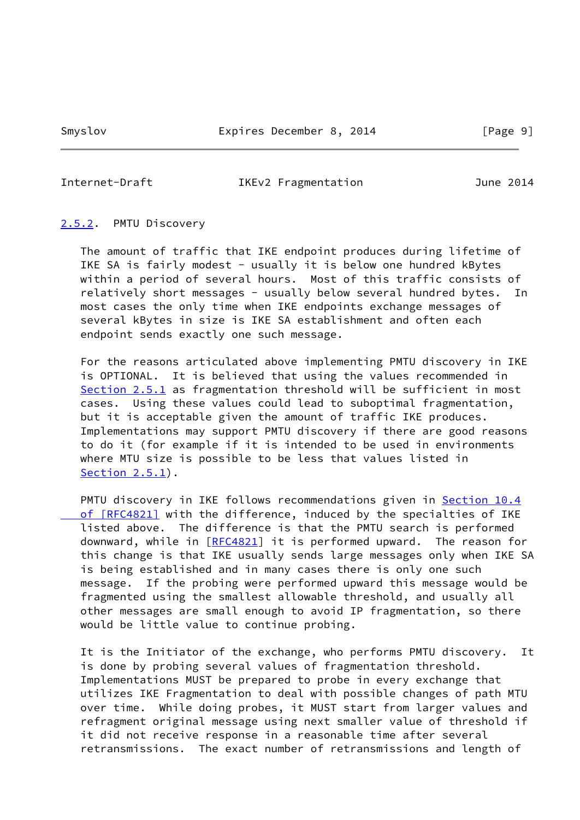#### <span id="page-10-1"></span>Internet-Draft IKEv2 Fragmentation June 2014

#### <span id="page-10-0"></span>[2.5.2](#page-10-0). PMTU Discovery

 The amount of traffic that IKE endpoint produces during lifetime of IKE SA is fairly modest - usually it is below one hundred kBytes within a period of several hours. Most of this traffic consists of relatively short messages - usually below several hundred bytes. In most cases the only time when IKE endpoints exchange messages of several kBytes in size is IKE SA establishment and often each endpoint sends exactly one such message.

 For the reasons articulated above implementing PMTU discovery in IKE is OPTIONAL. It is believed that using the values recommended in [Section 2.5.1](#page-9-0) as fragmentation threshold will be sufficient in most cases. Using these values could lead to suboptimal fragmentation, but it is acceptable given the amount of traffic IKE produces. Implementations may support PMTU discovery if there are good reasons to do it (for example if it is intended to be used in environments where MTU size is possible to be less that values listed in [Section 2.5.1](#page-9-0)).

 PMTU discovery in IKE follows recommendations given in [Section](https://datatracker.ietf.org/doc/pdf/rfc4821#section-10.4) 10.4  [of \[RFC4821\]](https://datatracker.ietf.org/doc/pdf/rfc4821#section-10.4) with the difference, induced by the specialties of IKE listed above. The difference is that the PMTU search is performed downward, while in [[RFC4821\]](https://datatracker.ietf.org/doc/pdf/rfc4821) it is performed upward. The reason for this change is that IKE usually sends large messages only when IKE SA is being established and in many cases there is only one such message. If the probing were performed upward this message would be fragmented using the smallest allowable threshold, and usually all other messages are small enough to avoid IP fragmentation, so there would be little value to continue probing.

 It is the Initiator of the exchange, who performs PMTU discovery. It is done by probing several values of fragmentation threshold. Implementations MUST be prepared to probe in every exchange that utilizes IKE Fragmentation to deal with possible changes of path MTU over time. While doing probes, it MUST start from larger values and refragment original message using next smaller value of threshold if it did not receive response in a reasonable time after several retransmissions. The exact number of retransmissions and length of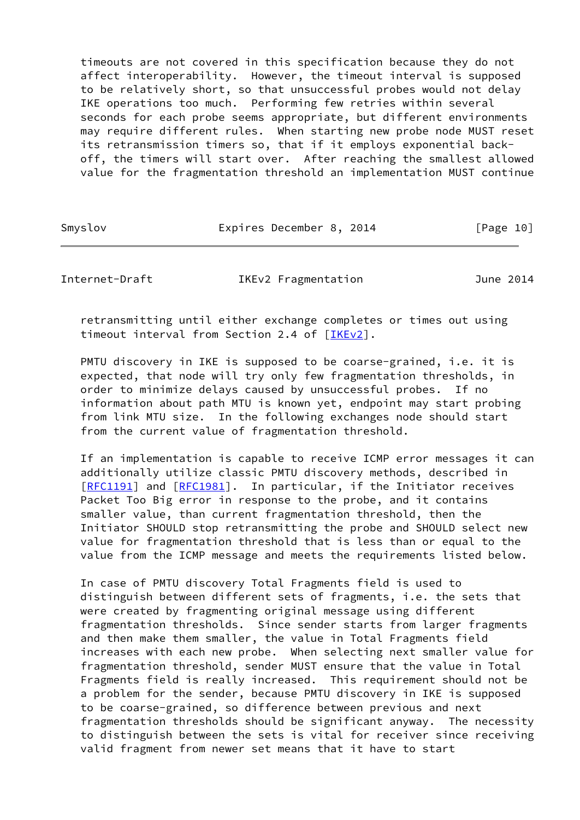timeouts are not covered in this specification because they do not affect interoperability. However, the timeout interval is supposed to be relatively short, so that unsuccessful probes would not delay IKE operations too much. Performing few retries within several seconds for each probe seems appropriate, but different environments may require different rules. When starting new probe node MUST reset its retransmission timers so, that if it employs exponential back off, the timers will start over. After reaching the smallest allowed value for the fragmentation threshold an implementation MUST continue

Smyslov **Expires December 8, 2014** [Page 10]

<span id="page-11-0"></span>Internet-Draft IKEv2 Fragmentation June 2014

 retransmitting until either exchange completes or times out using timeout interval from Section 2.4 of [\[IKEv2\]](#page-21-4).

 PMTU discovery in IKE is supposed to be coarse-grained, i.e. it is expected, that node will try only few fragmentation thresholds, in order to minimize delays caused by unsuccessful probes. If no information about path MTU is known yet, endpoint may start probing from link MTU size. In the following exchanges node should start from the current value of fragmentation threshold.

 If an implementation is capable to receive ICMP error messages it can additionally utilize classic PMTU discovery methods, described in [\[RFC1191](https://datatracker.ietf.org/doc/pdf/rfc1191)] and [[RFC1981](https://datatracker.ietf.org/doc/pdf/rfc1981)]. In particular, if the Initiator receives Packet Too Big error in response to the probe, and it contains smaller value, than current fragmentation threshold, then the Initiator SHOULD stop retransmitting the probe and SHOULD select new value for fragmentation threshold that is less than or equal to the value from the ICMP message and meets the requirements listed below.

 In case of PMTU discovery Total Fragments field is used to distinguish between different sets of fragments, i.e. the sets that were created by fragmenting original message using different fragmentation thresholds. Since sender starts from larger fragments and then make them smaller, the value in Total Fragments field increases with each new probe. When selecting next smaller value for fragmentation threshold, sender MUST ensure that the value in Total Fragments field is really increased. This requirement should not be a problem for the sender, because PMTU discovery in IKE is supposed to be coarse-grained, so difference between previous and next fragmentation thresholds should be significant anyway. The necessity to distinguish between the sets is vital for receiver since receiving valid fragment from newer set means that it have to start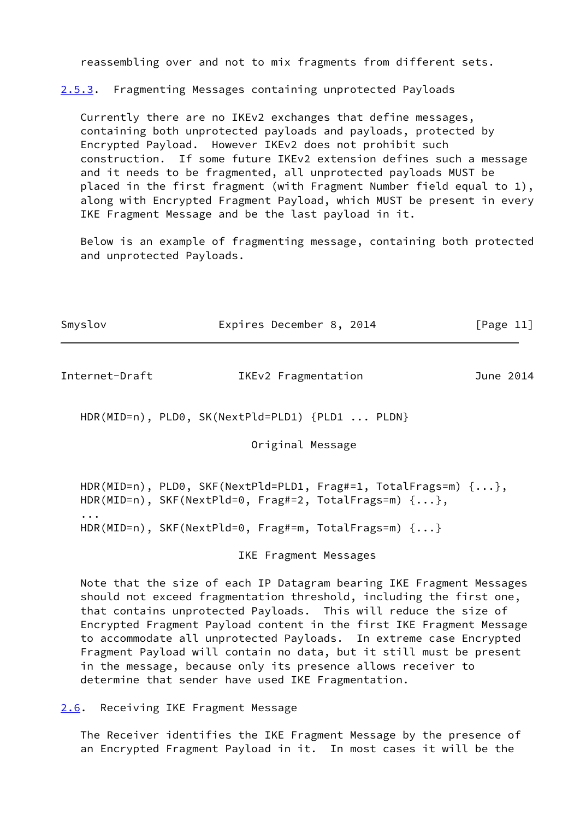reassembling over and not to mix fragments from different sets.

<span id="page-12-2"></span>[2.5.3](#page-12-2). Fragmenting Messages containing unprotected Payloads

 Currently there are no IKEv2 exchanges that define messages, containing both unprotected payloads and payloads, protected by Encrypted Payload. However IKEv2 does not prohibit such construction. If some future IKEv2 extension defines such a message and it needs to be fragmented, all unprotected payloads MUST be placed in the first fragment (with Fragment Number field equal to 1), along with Encrypted Fragment Payload, which MUST be present in every IKE Fragment Message and be the last payload in it.

 Below is an example of fragmenting message, containing both protected and unprotected Payloads.

| Expires December 8, 2014 | [Page 11] |
|--------------------------|-----------|
|                          |           |

<span id="page-12-1"></span>Internet-Draft IKEv2 Fragmentation June 2014

HDR(MID=n), PLD0, SK(NextPld=PLD1) {PLD1 ... PLDN}

Original Message

```
 HDR(MID=n), PLD0, SKF(NextPld=PLD1, Frag#=1, TotalFrags=m) {...},
  HDR(MID=n), SKF(NextPld=0, Frag#=2, TotalFrags=m) {...},
...
  HDR(MID=n), SKF(NextPld=0, Frag#=m, TotalFrags=m) {...}
```
IKE Fragment Messages

 Note that the size of each IP Datagram bearing IKE Fragment Messages should not exceed fragmentation threshold, including the first one, that contains unprotected Payloads. This will reduce the size of Encrypted Fragment Payload content in the first IKE Fragment Message to accommodate all unprotected Payloads. In extreme case Encrypted Fragment Payload will contain no data, but it still must be present in the message, because only its presence allows receiver to determine that sender have used IKE Fragmentation.

<span id="page-12-0"></span>[2.6](#page-12-0). Receiving IKE Fragment Message

 The Receiver identifies the IKE Fragment Message by the presence of an Encrypted Fragment Payload in it. In most cases it will be the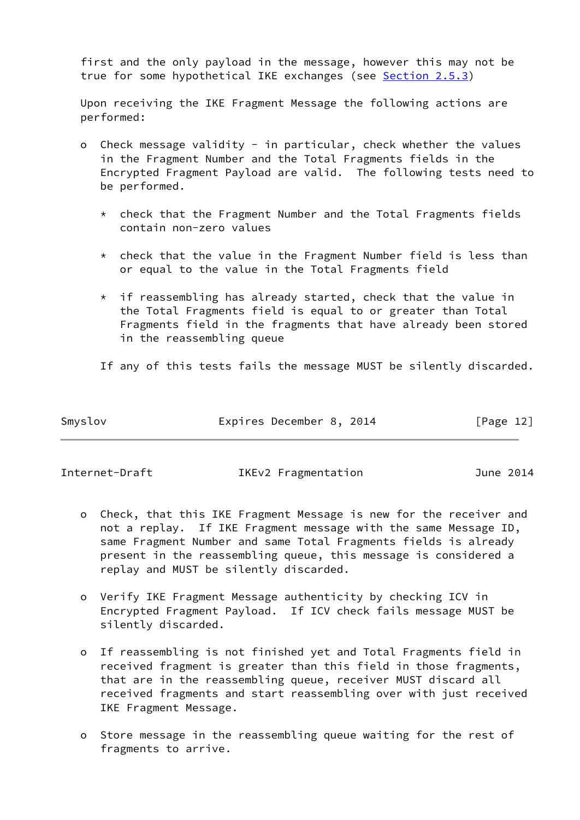first and the only payload in the message, however this may not be true for some hypothetical IKE exchanges (see [Section 2.5.3\)](#page-12-2)

 Upon receiving the IKE Fragment Message the following actions are performed:

- Check message validity in particular, check whether the values in the Fragment Number and the Total Fragments fields in the Encrypted Fragment Payload are valid. The following tests need to be performed.
	- \* check that the Fragment Number and the Total Fragments fields contain non-zero values
	- \* check that the value in the Fragment Number field is less than or equal to the value in the Total Fragments field
	- $*$  if reassembling has already started, check that the value in the Total Fragments field is equal to or greater than Total Fragments field in the fragments that have already been stored in the reassembling queue
	- If any of this tests fails the message MUST be silently discarded.

| Smyslov | Expires December 8, 2014 | [Page 12] |
|---------|--------------------------|-----------|
|         |                          |           |

Internet-Draft IKEv2 Fragmentation June 2014

- o Check, that this IKE Fragment Message is new for the receiver and not a replay. If IKE Fragment message with the same Message ID, same Fragment Number and same Total Fragments fields is already present in the reassembling queue, this message is considered a replay and MUST be silently discarded.
- o Verify IKE Fragment Message authenticity by checking ICV in Encrypted Fragment Payload. If ICV check fails message MUST be silently discarded.
- o If reassembling is not finished yet and Total Fragments field in received fragment is greater than this field in those fragments, that are in the reassembling queue, receiver MUST discard all received fragments and start reassembling over with just received IKE Fragment Message.
- o Store message in the reassembling queue waiting for the rest of fragments to arrive.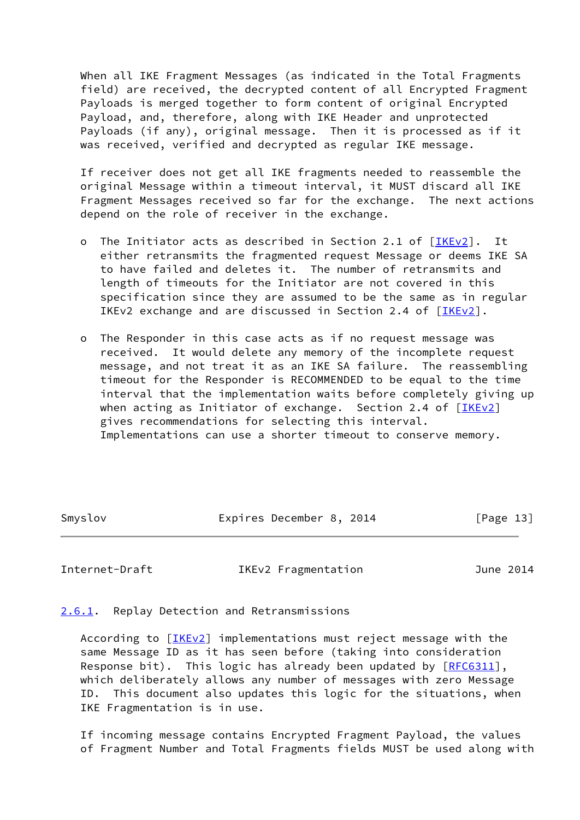When all IKE Fragment Messages (as indicated in the Total Fragments field) are received, the decrypted content of all Encrypted Fragment Payloads is merged together to form content of original Encrypted Payload, and, therefore, along with IKE Header and unprotected Payloads (if any), original message. Then it is processed as if it was received, verified and decrypted as regular IKE message.

 If receiver does not get all IKE fragments needed to reassemble the original Message within a timeout interval, it MUST discard all IKE Fragment Messages received so far for the exchange. The next actions depend on the role of receiver in the exchange.

- o The Initiator acts as described in Section 2.1 of [\[IKEv2\]](#page-21-4). It either retransmits the fragmented request Message or deems IKE SA to have failed and deletes it. The number of retransmits and length of timeouts for the Initiator are not covered in this specification since they are assumed to be the same as in regular IKEv2 exchange and are discussed in Section 2.4 of [[IKEv2\]](#page-21-4).
- o The Responder in this case acts as if no request message was received. It would delete any memory of the incomplete request message, and not treat it as an IKE SA failure. The reassembling timeout for the Responder is RECOMMENDED to be equal to the time interval that the implementation waits before completely giving up when acting as Initiator of exchange. Section 2.4 of  $[IKEV2]$  gives recommendations for selecting this interval. Implementations can use a shorter timeout to conserve memory.

Smyslov **Expires December 8, 2014** [Page 13]

<span id="page-14-1"></span>Internet-Draft IKEv2 Fragmentation June 2014

### <span id="page-14-0"></span>[2.6.1](#page-14-0). Replay Detection and Retransmissions

According to [\[IKEv2\]](#page-21-4) implementations must reject message with the same Message ID as it has seen before (taking into consideration Response bit). This logic has already been updated by [\[RFC6311](https://datatracker.ietf.org/doc/pdf/rfc6311)], which deliberately allows any number of messages with zero Message ID. This document also updates this logic for the situations, when IKE Fragmentation is in use.

 If incoming message contains Encrypted Fragment Payload, the values of Fragment Number and Total Fragments fields MUST be used along with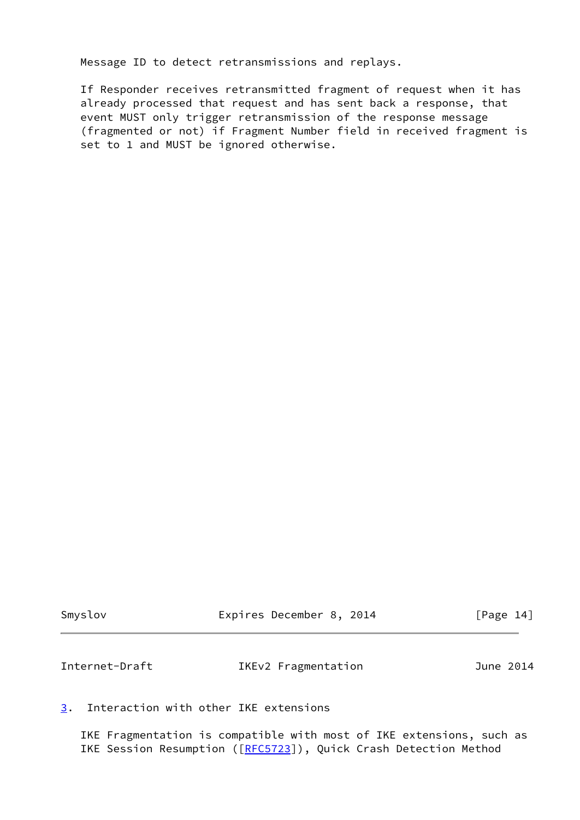Message ID to detect retransmissions and replays.

 If Responder receives retransmitted fragment of request when it has already processed that request and has sent back a response, that event MUST only trigger retransmission of the response message (fragmented or not) if Fragment Number field in received fragment is set to 1 and MUST be ignored otherwise.

<span id="page-15-1"></span>

| Smyslov        | Expires December 8, 2014 | [Page 14] |
|----------------|--------------------------|-----------|
| Internet-Draft | IKEv2 Fragmentation      | June 2014 |

# <span id="page-15-0"></span>[3](#page-15-0). Interaction with other IKE extensions

 IKE Fragmentation is compatible with most of IKE extensions, such as IKE Session Resumption ([\[RFC5723](https://datatracker.ietf.org/doc/pdf/rfc5723)]), Quick Crash Detection Method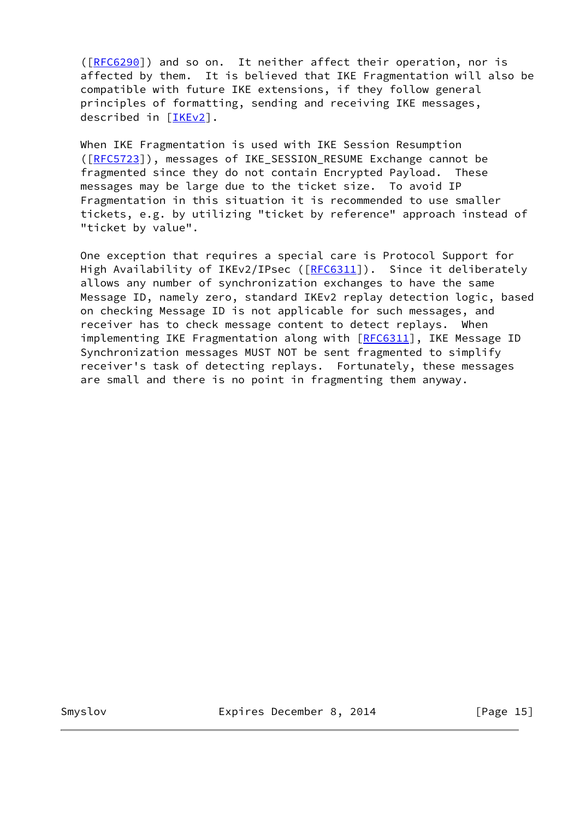([\[RFC6290](https://datatracker.ietf.org/doc/pdf/rfc6290)]) and so on. It neither affect their operation, nor is affected by them. It is believed that IKE Fragmentation will also be compatible with future IKE extensions, if they follow general principles of formatting, sending and receiving IKE messages, described in [\[IKEv2\]](#page-21-4).

 When IKE Fragmentation is used with IKE Session Resumption ([\[RFC5723](https://datatracker.ietf.org/doc/pdf/rfc5723)]), messages of IKE\_SESSION\_RESUME Exchange cannot be fragmented since they do not contain Encrypted Payload. These messages may be large due to the ticket size. To avoid IP Fragmentation in this situation it is recommended to use smaller tickets, e.g. by utilizing "ticket by reference" approach instead of "ticket by value".

 One exception that requires a special care is Protocol Support for High Availability of IKEv2/IPsec ([[RFC6311](https://datatracker.ietf.org/doc/pdf/rfc6311)]). Since it deliberately allows any number of synchronization exchanges to have the same Message ID, namely zero, standard IKEv2 replay detection logic, based on checking Message ID is not applicable for such messages, and receiver has to check message content to detect replays. When implementing IKE Fragmentation along with [[RFC6311](https://datatracker.ietf.org/doc/pdf/rfc6311)], IKE Message ID Synchronization messages MUST NOT be sent fragmented to simplify receiver's task of detecting replays. Fortunately, these messages are small and there is no point in fragmenting them anyway.

Smyslov **Expires December 8, 2014** [Page 15]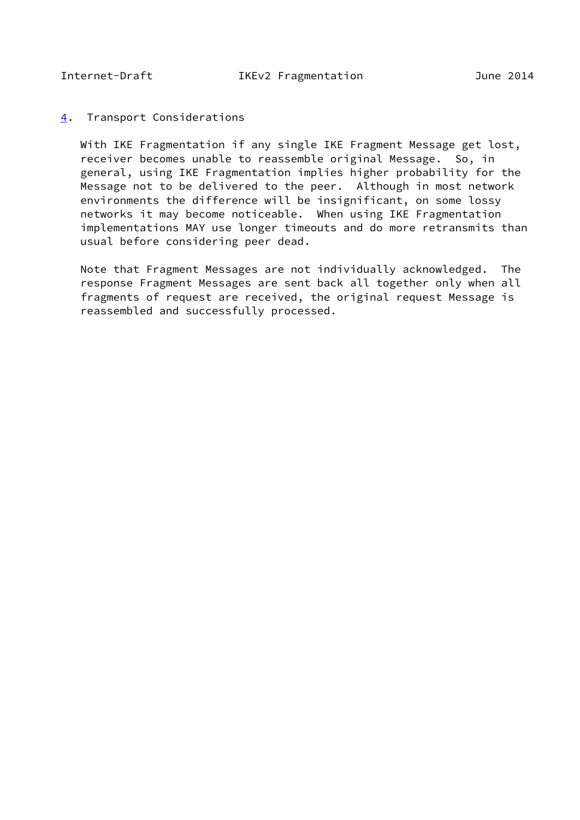#### <span id="page-17-1"></span><span id="page-17-0"></span>[4](#page-17-0). Transport Considerations

 With IKE Fragmentation if any single IKE Fragment Message get lost, receiver becomes unable to reassemble original Message. So, in general, using IKE Fragmentation implies higher probability for the Message not to be delivered to the peer. Although in most network environments the difference will be insignificant, on some lossy networks it may become noticeable. When using IKE Fragmentation implementations MAY use longer timeouts and do more retransmits than usual before considering peer dead.

 Note that Fragment Messages are not individually acknowledged. The response Fragment Messages are sent back all together only when all fragments of request are received, the original request Message is reassembled and successfully processed.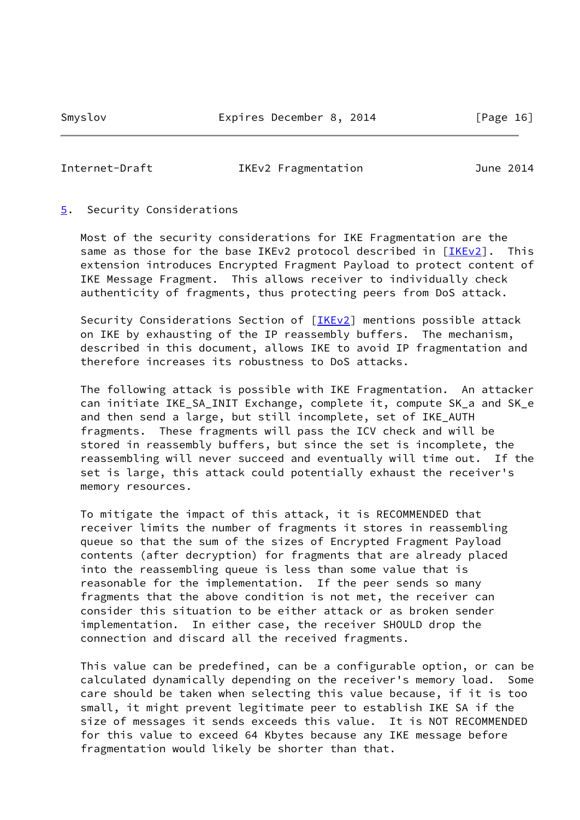#### <span id="page-18-1"></span>Internet-Draft IKEv2 Fragmentation June 2014

#### <span id="page-18-0"></span>[5](#page-18-0). Security Considerations

 Most of the security considerations for IKE Fragmentation are the same as those for the base IKEv2 protocol described in [\[IKEv2](#page-21-4)]. This extension introduces Encrypted Fragment Payload to protect content of IKE Message Fragment. This allows receiver to individually check authenticity of fragments, thus protecting peers from DoS attack.

Security Considerations Section of [[IKEv2\]](#page-21-4) mentions possible attack on IKE by exhausting of the IP reassembly buffers. The mechanism, described in this document, allows IKE to avoid IP fragmentation and therefore increases its robustness to DoS attacks.

 The following attack is possible with IKE Fragmentation. An attacker can initiate IKE\_SA\_INIT Exchange, complete it, compute SK\_a and SK\_e and then send a large, but still incomplete, set of IKE\_AUTH fragments. These fragments will pass the ICV check and will be stored in reassembly buffers, but since the set is incomplete, the reassembling will never succeed and eventually will time out. If the set is large, this attack could potentially exhaust the receiver's memory resources.

 To mitigate the impact of this attack, it is RECOMMENDED that receiver limits the number of fragments it stores in reassembling queue so that the sum of the sizes of Encrypted Fragment Payload contents (after decryption) for fragments that are already placed into the reassembling queue is less than some value that is reasonable for the implementation. If the peer sends so many fragments that the above condition is not met, the receiver can consider this situation to be either attack or as broken sender implementation. In either case, the receiver SHOULD drop the connection and discard all the received fragments.

 This value can be predefined, can be a configurable option, or can be calculated dynamically depending on the receiver's memory load. Some care should be taken when selecting this value because, if it is too small, it might prevent legitimate peer to establish IKE SA if the size of messages it sends exceeds this value. It is NOT RECOMMENDED for this value to exceed 64 Kbytes because any IKE message before fragmentation would likely be shorter than that.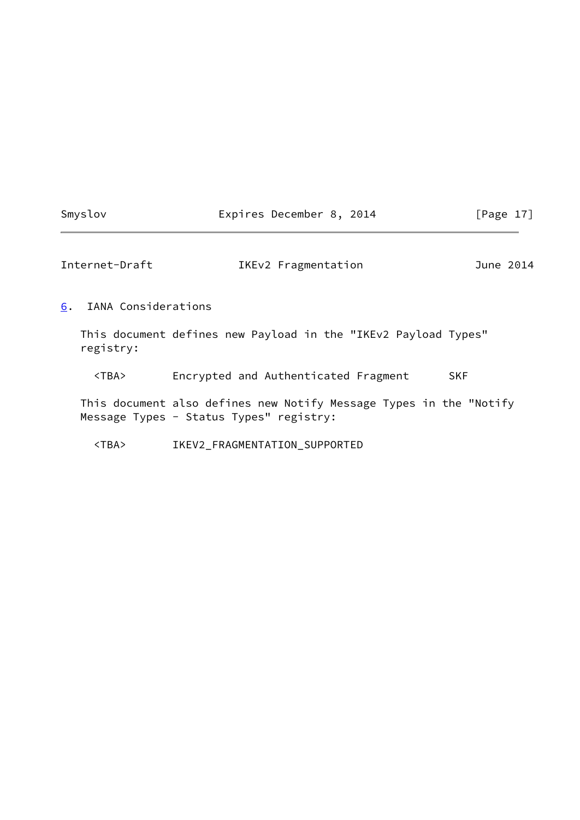# Smyslov **Expires December 8, 2014** [Page 17]

<span id="page-19-1"></span>

| Internet-Draft | IKEv2 Fragmentation | June 2014 |
|----------------|---------------------|-----------|
|----------------|---------------------|-----------|

<span id="page-19-0"></span>[6](#page-19-0). IANA Considerations

 This document defines new Payload in the "IKEv2 Payload Types" registry:

<TBA> Encrypted and Authenticated Fragment SKF

 This document also defines new Notify Message Types in the "Notify Message Types - Status Types" registry:

<TBA> IKEV2\_FRAGMENTATION\_SUPPORTED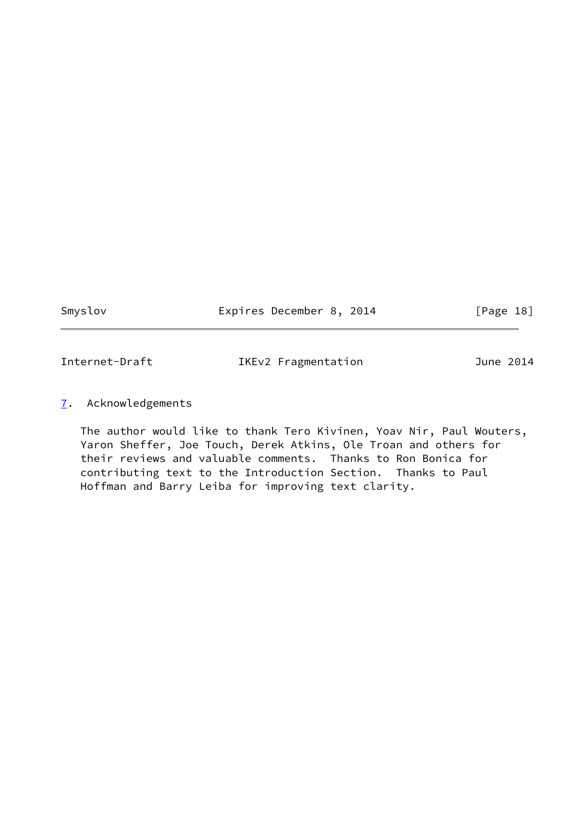Smyslov **Expires December 8, 2014** [Page 18]

<span id="page-20-1"></span>

Internet-Draft IKEv2 Fragmentation June 2014

# <span id="page-20-0"></span>[7](#page-20-0). Acknowledgements

 The author would like to thank Tero Kivinen, Yoav Nir, Paul Wouters, Yaron Sheffer, Joe Touch, Derek Atkins, Ole Troan and others for their reviews and valuable comments. Thanks to Ron Bonica for contributing text to the Introduction Section. Thanks to Paul Hoffman and Barry Leiba for improving text clarity.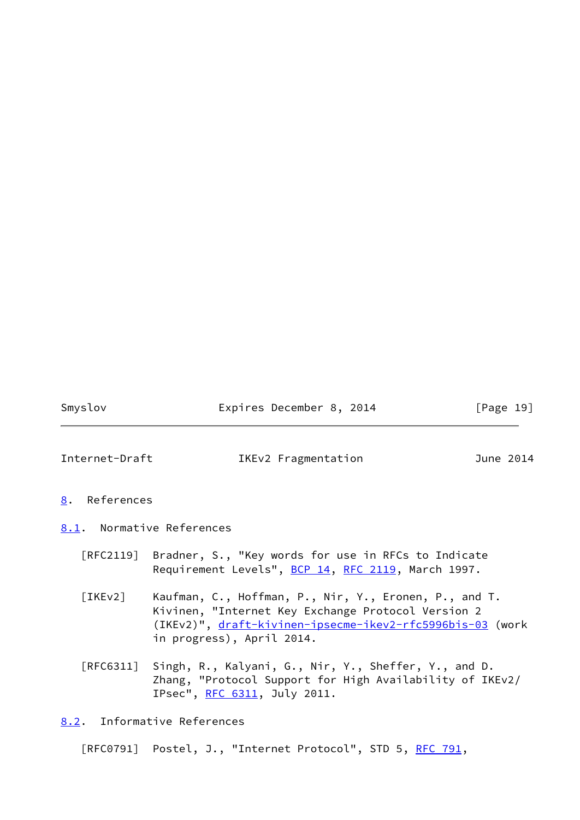Smyslov **Expires December 8, 2014** [Page 19]

<span id="page-21-1"></span>

Internet-Draft IKEv2 Fragmentation June 2014

- <span id="page-21-0"></span>[8](#page-21-0). References
- <span id="page-21-4"></span><span id="page-21-2"></span>[8.1](#page-21-2). Normative References
	- [RFC2119] Bradner, S., "Key words for use in RFCs to Indicate Requirement Levels", [BCP 14](https://datatracker.ietf.org/doc/pdf/bcp14), [RFC 2119](https://datatracker.ietf.org/doc/pdf/rfc2119), March 1997.
	- [IKEv2] Kaufman, C., Hoffman, P., Nir, Y., Eronen, P., and T. Kivinen, "Internet Key Exchange Protocol Version 2 (IKEv2)", [draft-kivinen-ipsecme-ikev2-rfc5996bis-03](https://datatracker.ietf.org/doc/pdf/draft-kivinen-ipsecme-ikev2-rfc5996bis-03) (work in progress), April 2014.
	- [RFC6311] Singh, R., Kalyani, G., Nir, Y., Sheffer, Y., and D. Zhang, "Protocol Support for High Availability of IKEv2/ IPsec", [RFC 6311,](https://datatracker.ietf.org/doc/pdf/rfc6311) July 2011.

<span id="page-21-3"></span>[8.2](#page-21-3). Informative References

[RFC0791] Postel, J., "Internet Protocol", STD 5, [RFC 791](https://datatracker.ietf.org/doc/pdf/rfc791),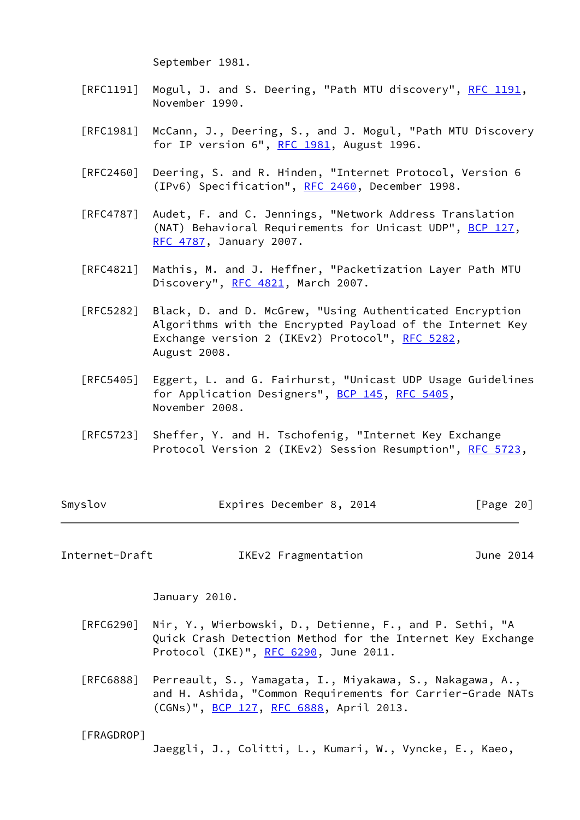September 1981.

- [RFC1191] Mogul, J. and S. Deering, "Path MTU discovery", [RFC 1191,](https://datatracker.ietf.org/doc/pdf/rfc1191) November 1990.
- [RFC1981] McCann, J., Deering, S., and J. Mogul, "Path MTU Discovery for IP version 6", [RFC 1981](https://datatracker.ietf.org/doc/pdf/rfc1981), August 1996.
- [RFC2460] Deering, S. and R. Hinden, "Internet Protocol, Version 6 (IPv6) Specification", [RFC 2460](https://datatracker.ietf.org/doc/pdf/rfc2460), December 1998.
- [RFC4787] Audet, F. and C. Jennings, "Network Address Translation (NAT) Behavioral Requirements for Unicast UDP", [BCP 127](https://datatracker.ietf.org/doc/pdf/bcp127), [RFC 4787,](https://datatracker.ietf.org/doc/pdf/rfc4787) January 2007.
- [RFC4821] Mathis, M. and J. Heffner, "Packetization Layer Path MTU Discovery", [RFC 4821,](https://datatracker.ietf.org/doc/pdf/rfc4821) March 2007.
- [RFC5282] Black, D. and D. McGrew, "Using Authenticated Encryption Algorithms with the Encrypted Payload of the Internet Key Exchange version 2 (IKEv2) Protocol", [RFC 5282](https://datatracker.ietf.org/doc/pdf/rfc5282), August 2008.
- [RFC5405] Eggert, L. and G. Fairhurst, "Unicast UDP Usage Guidelines for Application Designers", [BCP 145](https://datatracker.ietf.org/doc/pdf/bcp145), [RFC 5405](https://datatracker.ietf.org/doc/pdf/rfc5405), November 2008.
- [RFC5723] Sheffer, Y. and H. Tschofenig, "Internet Key Exchange Protocol Version 2 (IKEv2) Session Resumption", [RFC 5723,](https://datatracker.ietf.org/doc/pdf/rfc5723)

|  | [Page 20]                |
|--|--------------------------|
|  | Expires December 8, 2014 |

Internet-Draft IKEv2 Fragmentation June 2014

January 2010.

- [RFC6290] Nir, Y., Wierbowski, D., Detienne, F., and P. Sethi, "A Quick Crash Detection Method for the Internet Key Exchange Protocol (IKE)", [RFC 6290,](https://datatracker.ietf.org/doc/pdf/rfc6290) June 2011.
- [RFC6888] Perreault, S., Yamagata, I., Miyakawa, S., Nakagawa, A., and H. Ashida, "Common Requirements for Carrier-Grade NATs (CGNs)", [BCP 127,](https://datatracker.ietf.org/doc/pdf/bcp127) [RFC 6888](https://datatracker.ietf.org/doc/pdf/rfc6888), April 2013.

<span id="page-22-0"></span>[FRAGDROP]

Jaeggli, J., Colitti, L., Kumari, W., Vyncke, E., Kaeo,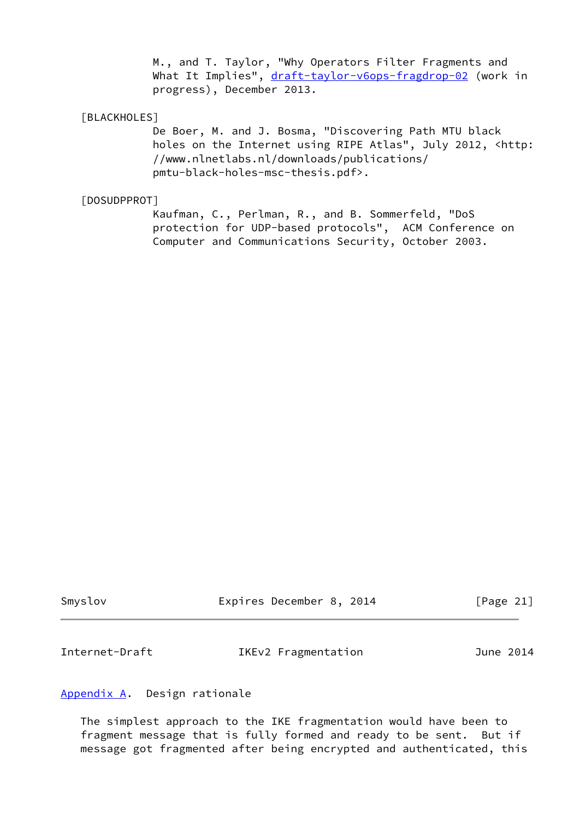M., and T. Taylor, "Why Operators Filter Fragments and What It Implies", [draft-taylor-v6ops-fragdrop-02](https://datatracker.ietf.org/doc/pdf/draft-taylor-v6ops-fragdrop-02) (work in progress), December 2013.

# <span id="page-23-2"></span>[BLACKHOLES]

 De Boer, M. and J. Bosma, "Discovering Path MTU black holes on the Internet using RIPE Atlas", July 2012, <http: //www.nlnetlabs.nl/downloads/publications/ pmtu-black-holes-msc-thesis.pdf>.

### <span id="page-23-3"></span>[DOSUDPPROT]

 Kaufman, C., Perlman, R., and B. Sommerfeld, "DoS protection for UDP-based protocols", ACM Conference on Computer and Communications Security, October 2003.

Smyslov Expires December 8, 2014 [Page 21]

<span id="page-23-1"></span>Internet-Draft IKEv2 Fragmentation June 2014

# <span id="page-23-0"></span>[Appendix A.](#page-23-0) Design rationale

 The simplest approach to the IKE fragmentation would have been to fragment message that is fully formed and ready to be sent. But if message got fragmented after being encrypted and authenticated, this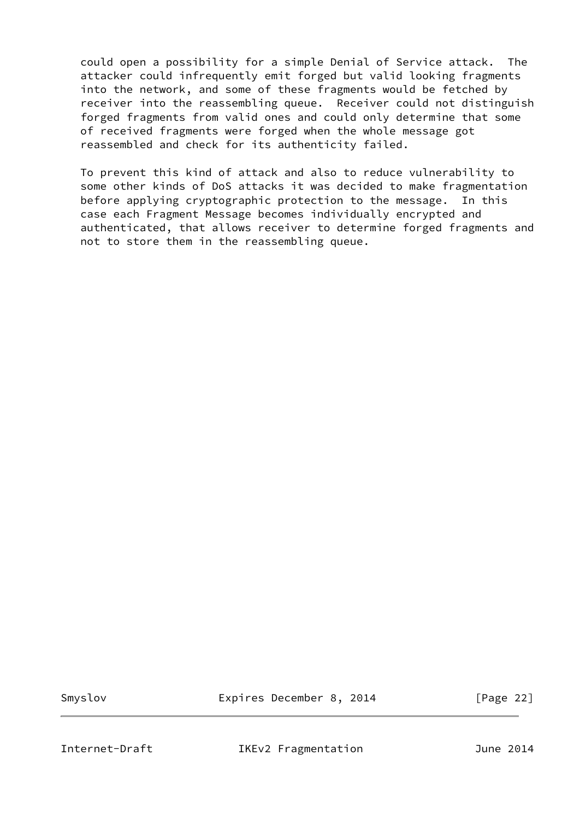could open a possibility for a simple Denial of Service attack. The attacker could infrequently emit forged but valid looking fragments into the network, and some of these fragments would be fetched by receiver into the reassembling queue. Receiver could not distinguish forged fragments from valid ones and could only determine that some of received fragments were forged when the whole message got reassembled and check for its authenticity failed.

 To prevent this kind of attack and also to reduce vulnerability to some other kinds of DoS attacks it was decided to make fragmentation before applying cryptographic protection to the message. In this case each Fragment Message becomes individually encrypted and authenticated, that allows receiver to determine forged fragments and not to store them in the reassembling queue.

Smyslov Expires December 8, 2014 [Page 22]

<span id="page-24-0"></span>Internet-Draft IKEv2 Fragmentation June 2014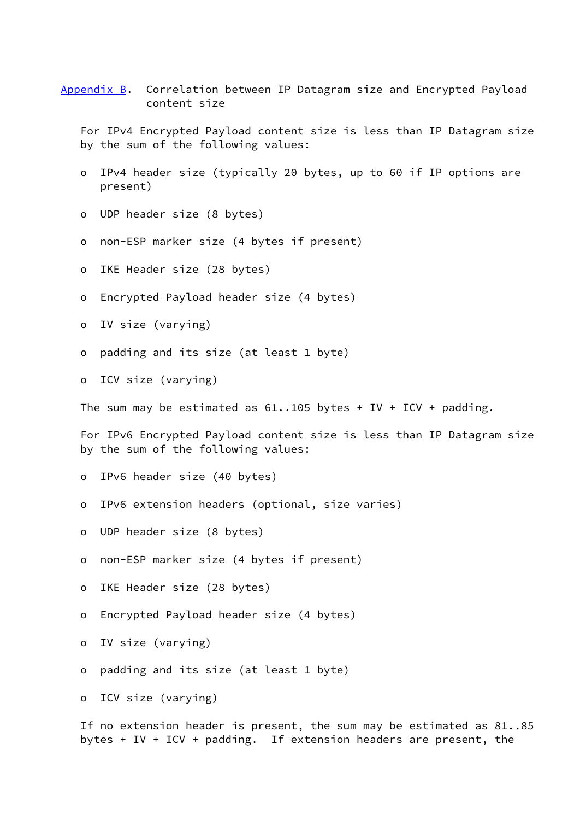# <span id="page-25-0"></span>[Appendix B.](#page-25-0) Correlation between IP Datagram size and Encrypted Payload content size

 For IPv4 Encrypted Payload content size is less than IP Datagram size by the sum of the following values:

- o IPv4 header size (typically 20 bytes, up to 60 if IP options are present)
- o UDP header size (8 bytes)
- o non-ESP marker size (4 bytes if present)
- o IKE Header size (28 bytes)
- o Encrypted Payload header size (4 bytes)
- o IV size (varying)
- o padding and its size (at least 1 byte)

o ICV size (varying)

The sum may be estimated as  $61..105$  bytes + IV + ICV + padding.

 For IPv6 Encrypted Payload content size is less than IP Datagram size by the sum of the following values:

- o IPv6 header size (40 bytes)
- o IPv6 extension headers (optional, size varies)
- o UDP header size (8 bytes)
- o non-ESP marker size (4 bytes if present)
- o IKE Header size (28 bytes)
- o Encrypted Payload header size (4 bytes)
- o IV size (varying)
- o padding and its size (at least 1 byte)

o ICV size (varying)

 If no extension header is present, the sum may be estimated as 81..85 bytes + IV + ICV + padding. If extension headers are present, the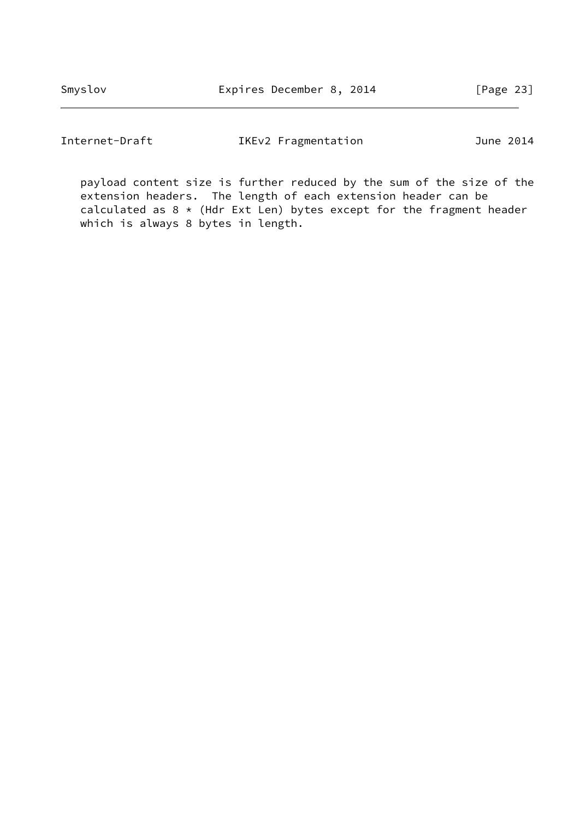Internet-Draft IKEv2 Fragmentation June 2014

 payload content size is further reduced by the sum of the size of the extension headers. The length of each extension header can be calculated as  $8 *$  (Hdr Ext Len) bytes except for the fragment header which is always 8 bytes in length.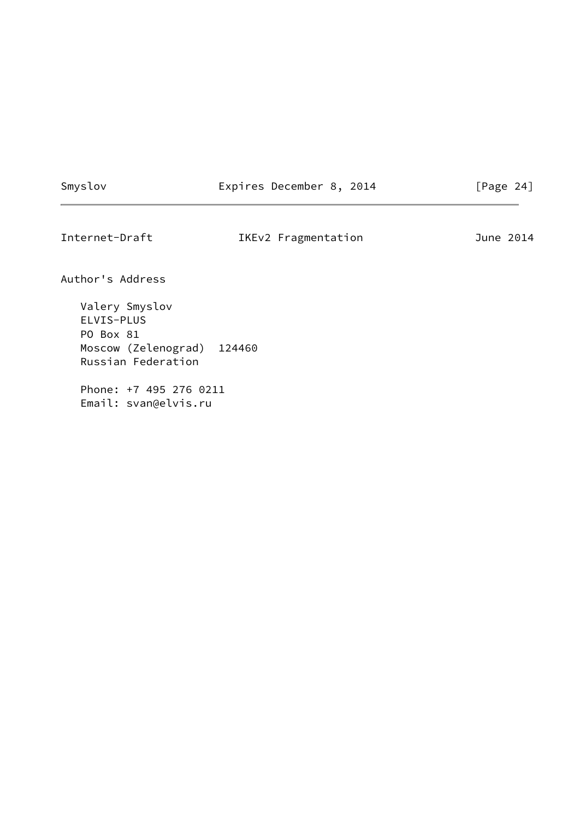Smyslov **Expires December 8, 2014** [Page 24]

<span id="page-27-0"></span>Internet-Draft IKEv2 Fragmentation June 2014

Author's Address

 Valery Smyslov ELVIS-PLUS PO Box 81 Moscow (Zelenograd) 124460 Russian Federation

 Phone: +7 495 276 0211 Email: svan@elvis.ru